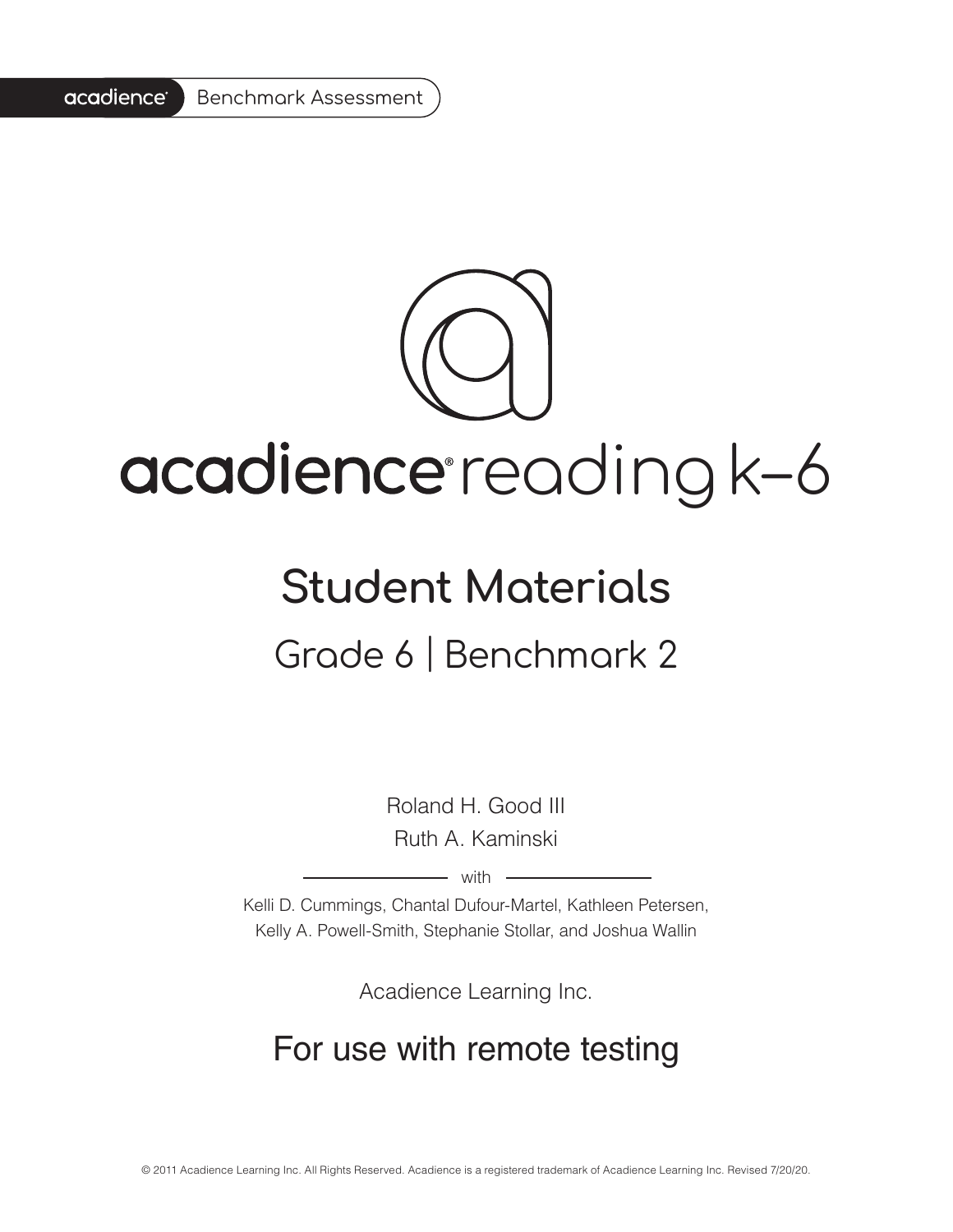#### acadience<sup>®</sup> Benchmark Assessment

# acadience reading k-6

### **Student Materials** Grade 6 | Benchmark 2

Roland H. Good III Ruth A. Kaminski

 $-$  with  $-$ 

Kelli D. Cummings, Chantal Dufour-Martel, Kathleen Petersen, Kelly A. Powell-Smith, Stephanie Stollar, and Joshua Wallin

Acadience Learning Inc.

#### For use with remote testing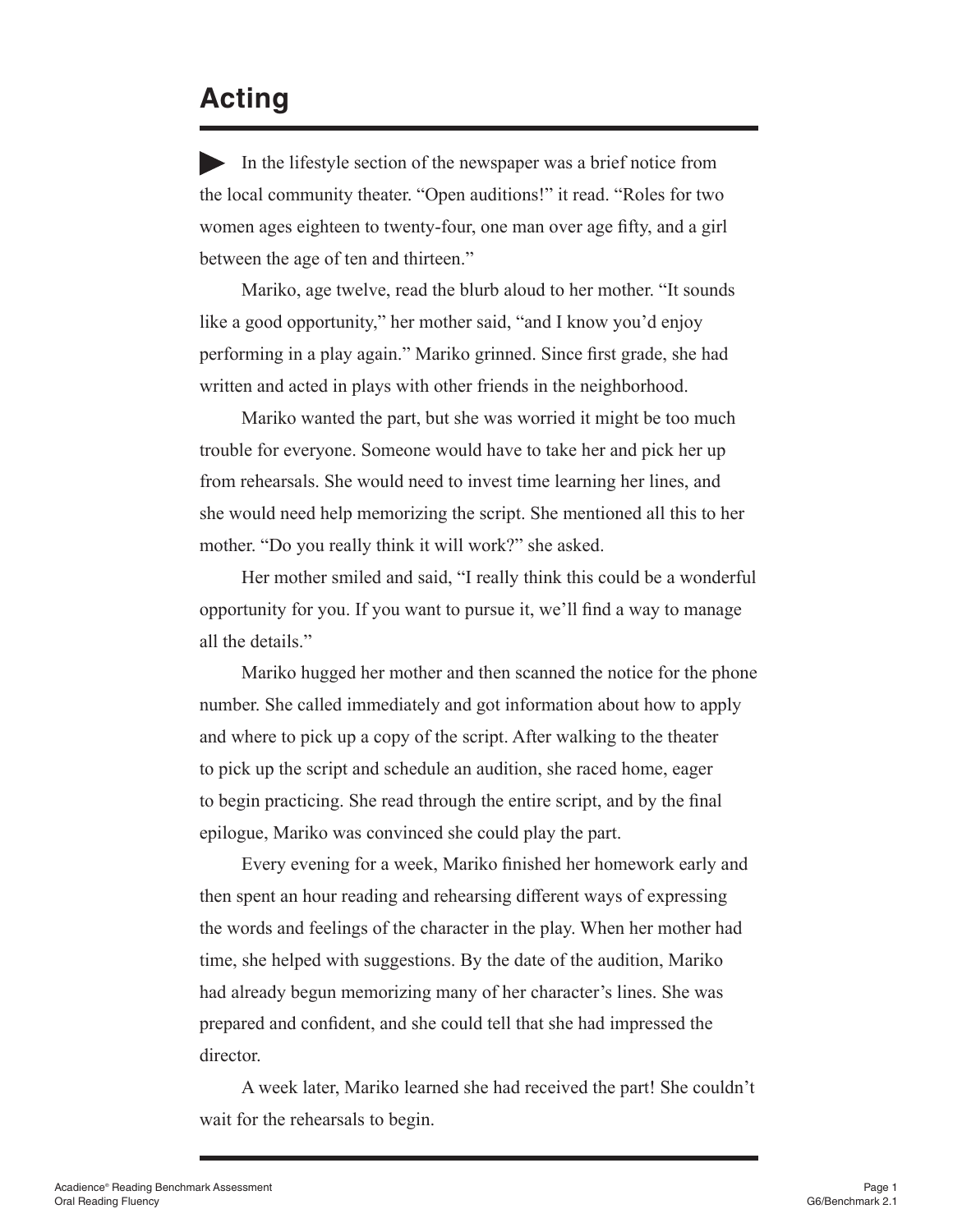#### **Acting**

In the lifestyle section of the newspaper was a brief notice from the local community theater. "Open auditions!" it read. "Roles for two women ages eighteen to twenty-four, one man over age fifty, and a girl between the age of ten and thirteen."

Mariko, age twelve, read the blurb aloud to her mother. "It sounds like a good opportunity," her mother said, "and I know you'd enjoy performing in a play again." Mariko grinned. Since first grade, she had written and acted in plays with other friends in the neighborhood.

Mariko wanted the part, but she was worried it might be too much trouble for everyone. Someone would have to take her and pick her up from rehearsals. She would need to invest time learning her lines, and she would need help memorizing the script. She mentioned all this to her mother. "Do you really think it will work?" she asked.

Her mother smiled and said, "I really think this could be a wonderful opportunity for you. If you want to pursue it, we'll find a way to manage all the details."

Mariko hugged her mother and then scanned the notice for the phone number. She called immediately and got information about how to apply and where to pick up a copy of the script. After walking to the theater to pick up the script and schedule an audition, she raced home, eager to begin practicing. She read through the entire script, and by the final epilogue, Mariko was convinced she could play the part.

Every evening for a week, Mariko finished her homework early and then spent an hour reading and rehearsing different ways of expressing the words and feelings of the character in the play. When her mother had time, she helped with suggestions. By the date of the audition, Mariko had already begun memorizing many of her character's lines. She was prepared and confident, and she could tell that she had impressed the director.

A week later, Mariko learned she had received the part! She couldn't wait for the rehearsals to begin.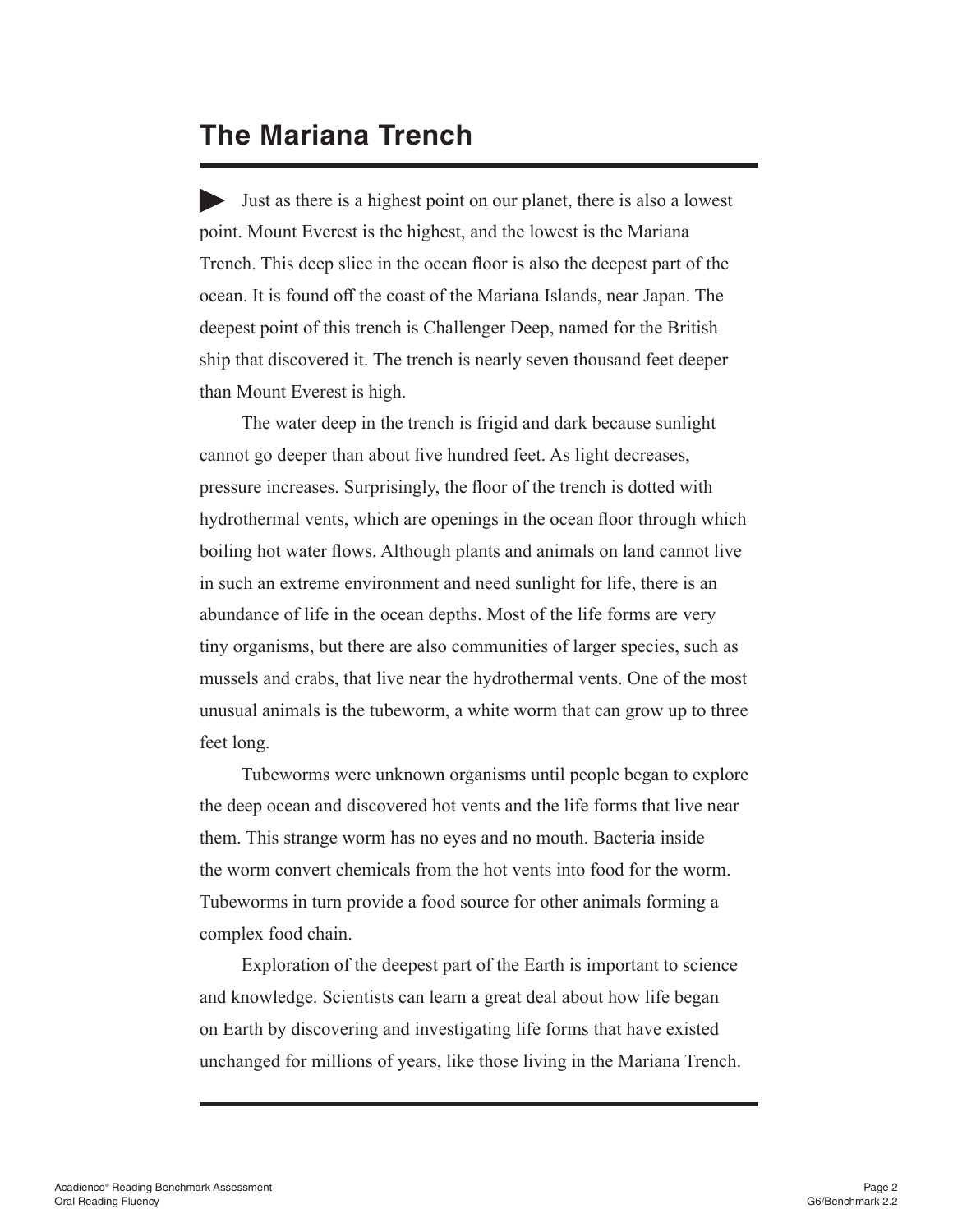#### **The Mariana Trench**

Just as there is a highest point on our planet, there is also a lowest point. Mount Everest is the highest, and the lowest is the Mariana Trench. This deep slice in the ocean floor is also the deepest part of the ocean. It is found off the coast of the Mariana Islands, near Japan. The deepest point of this trench is Challenger Deep, named for the British ship that discovered it. The trench is nearly seven thousand feet deeper than Mount Everest is high.

The water deep in the trench is frigid and dark because sunlight cannot go deeper than about five hundred feet. As light decreases, pressure increases. Surprisingly, the floor of the trench is dotted with hydrothermal vents, which are openings in the ocean floor through which boiling hot water flows. Although plants and animals on land cannot live in such an extreme environment and need sunlight for life, there is an abundance of life in the ocean depths. Most of the life forms are very tiny organisms, but there are also communities of larger species, such as mussels and crabs, that live near the hydrothermal vents. One of the most unusual animals is the tubeworm, a white worm that can grow up to three feet long.

Tubeworms were unknown organisms until people began to explore the deep ocean and discovered hot vents and the life forms that live near them. This strange worm has no eyes and no mouth. Bacteria inside the worm convert chemicals from the hot vents into food for the worm. Tubeworms in turn provide a food source for other animals forming a complex food chain.

Exploration of the deepest part of the Earth is important to science and knowledge. Scientists can learn a great deal about how life began on Earth by discovering and investigating life forms that have existed unchanged for millions of years, like those living in the Mariana Trench.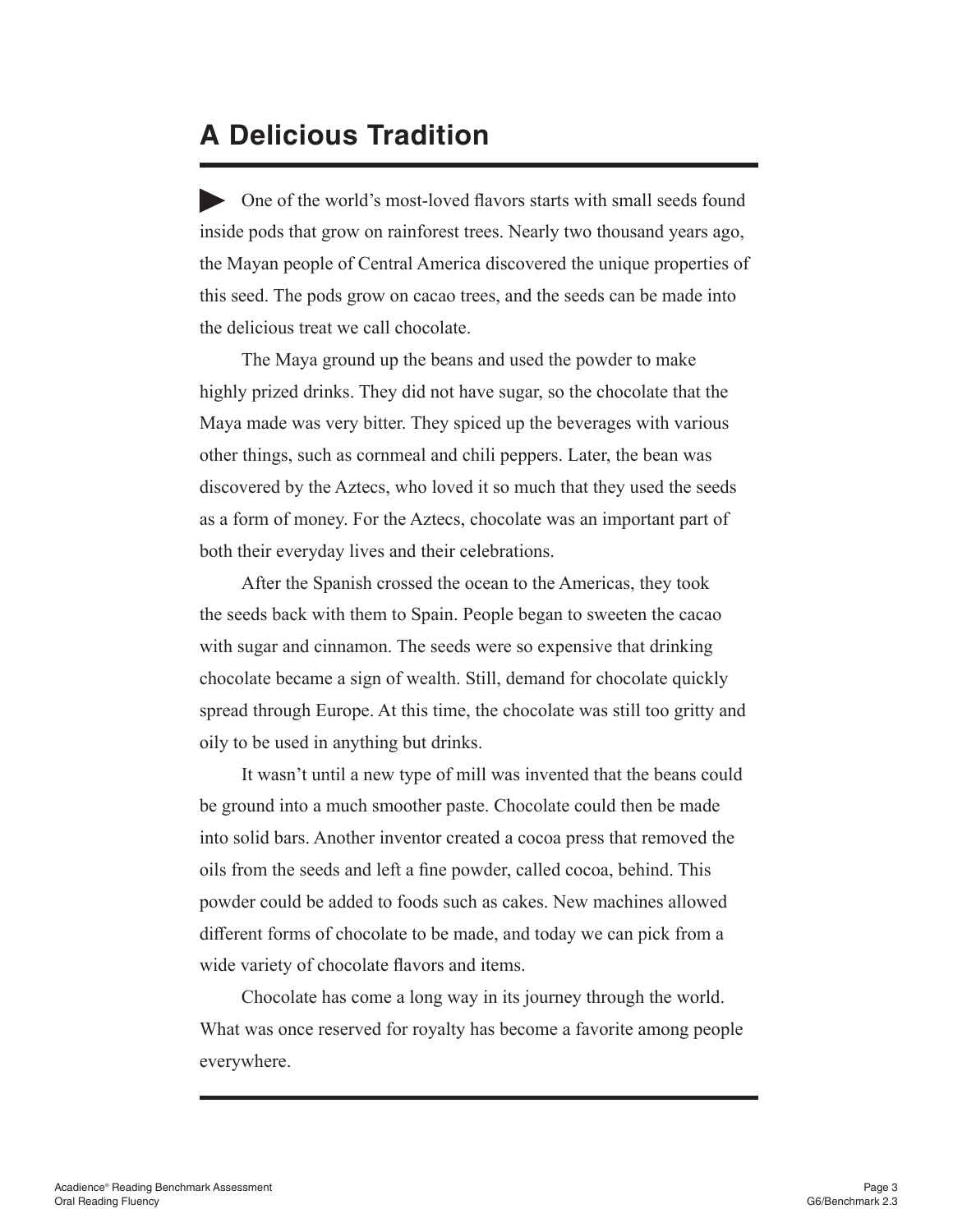#### **A Delicious Tradition**

One of the world's most-loved flavors starts with small seeds found inside pods that grow on rainforest trees. Nearly two thousand years ago, the Mayan people of Central America discovered the unique properties of this seed. The pods grow on cacao trees, and the seeds can be made into the delicious treat we call chocolate.

The Maya ground up the beans and used the powder to make highly prized drinks. They did not have sugar, so the chocolate that the Maya made was very bitter. They spiced up the beverages with various other things, such as cornmeal and chili peppers. Later, the bean was discovered by the Aztecs, who loved it so much that they used the seeds as a form of money. For the Aztecs, chocolate was an important part of both their everyday lives and their celebrations.

After the Spanish crossed the ocean to the Americas, they took the seeds back with them to Spain. People began to sweeten the cacao with sugar and cinnamon. The seeds were so expensive that drinking chocolate became a sign of wealth. Still, demand for chocolate quickly spread through Europe. At this time, the chocolate was still too gritty and oily to be used in anything but drinks.

It wasn't until a new type of mill was invented that the beans could be ground into a much smoother paste. Chocolate could then be made into solid bars. Another inventor created a cocoa press that removed the oils from the seeds and left a fine powder, called cocoa, behind. This powder could be added to foods such as cakes. New machines allowed different forms of chocolate to be made, and today we can pick from a wide variety of chocolate flavors and items.

Chocolate has come a long way in its journey through the world. What was once reserved for royalty has become a favorite among people everywhere.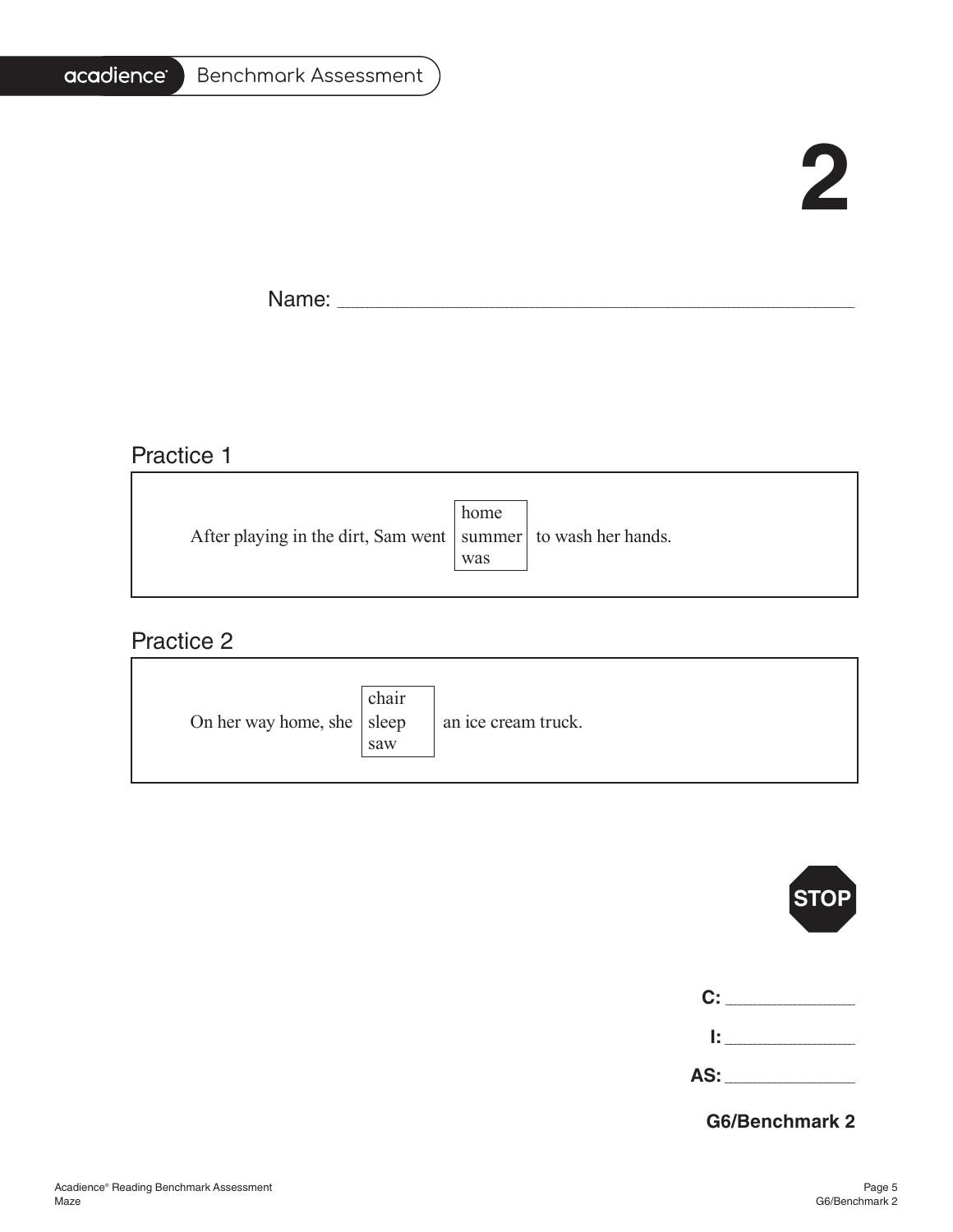#### acadience®

## **2**

Name: \_\_\_\_\_\_\_\_\_\_\_\_\_\_\_\_\_\_\_\_\_\_\_\_\_\_\_\_\_\_\_\_\_\_\_\_\_\_\_\_\_\_\_\_\_\_\_\_\_\_\_\_\_\_\_\_\_\_\_\_\_\_\_\_\_\_\_\_\_\_\_\_\_\_\_\_\_\_\_\_\_\_\_\_\_\_\_\_\_\_\_\_\_\_\_\_\_\_\_\_\_\_\_

#### Practice 1

| After playing in the dirt, Sam went   summer   to wash her hands. | home |  |
|-------------------------------------------------------------------|------|--|
|                                                                   | was  |  |

#### Practice 2

| On her way home, she $ $ sleep |
|--------------------------------|
|--------------------------------|

|               | $ \textsf{STOP} $ |
|---------------|-------------------|
| $\mathbf{C:}$ |                   |
| l: I          |                   |
| AS:           |                   |

**G6/Benchmark 2**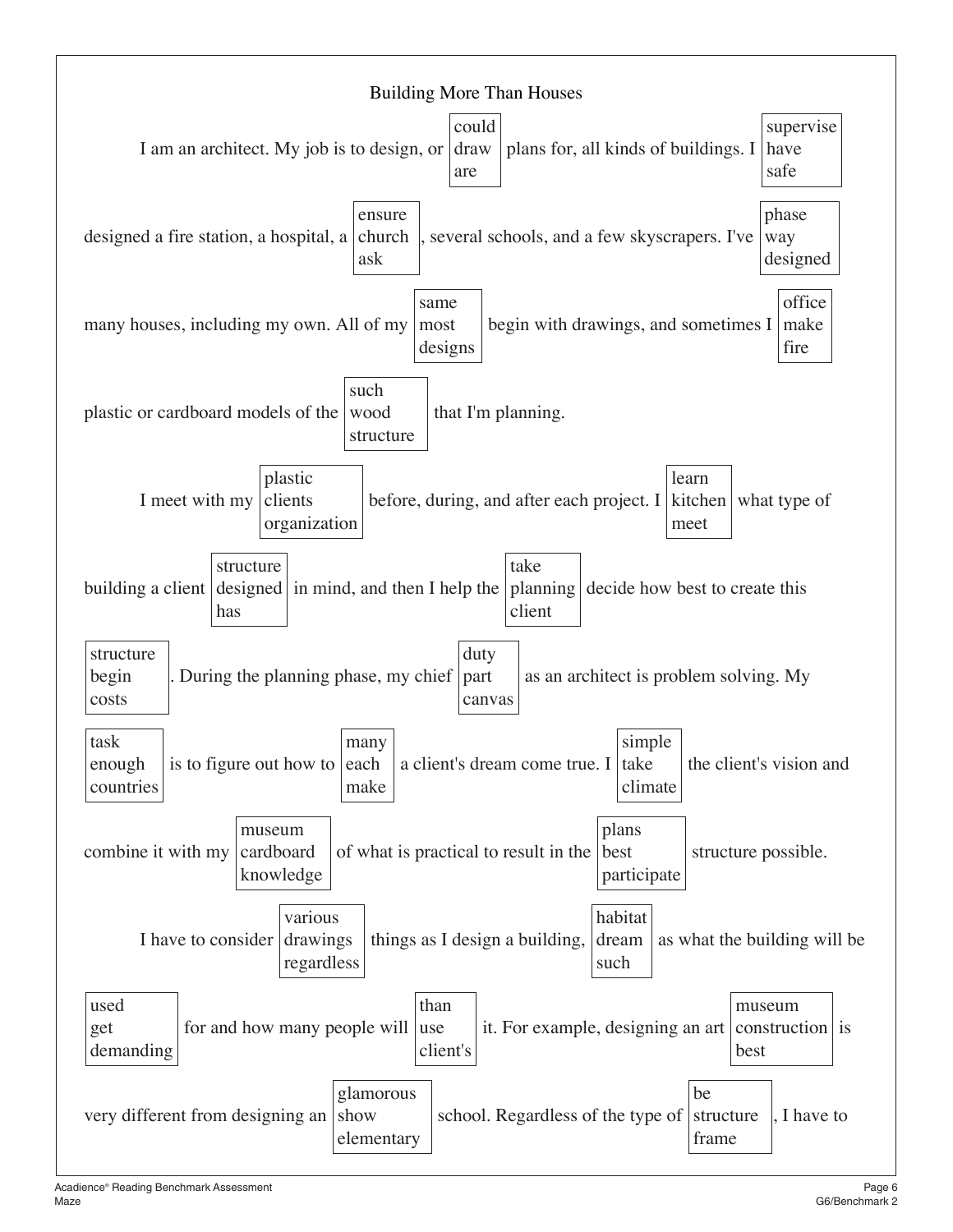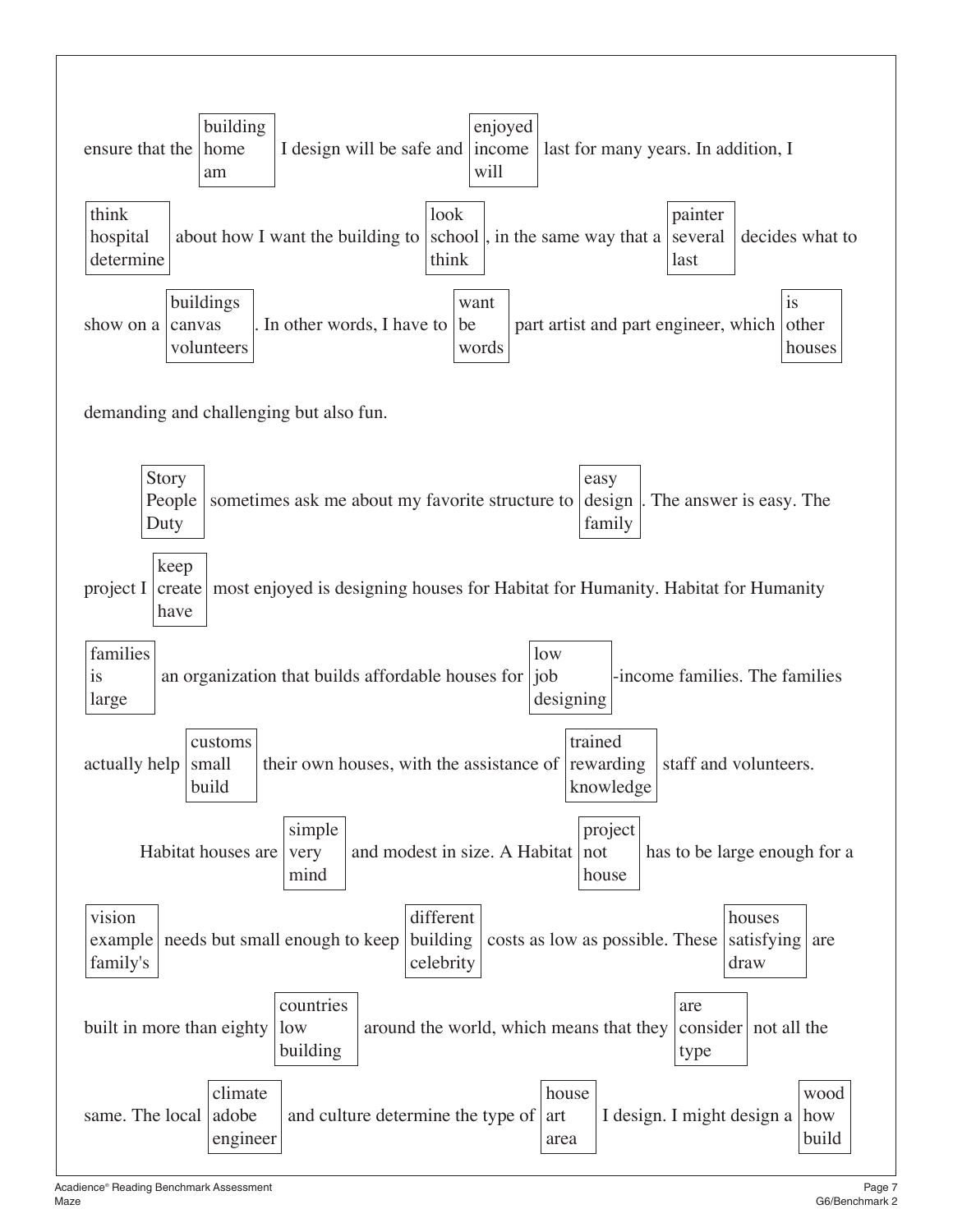